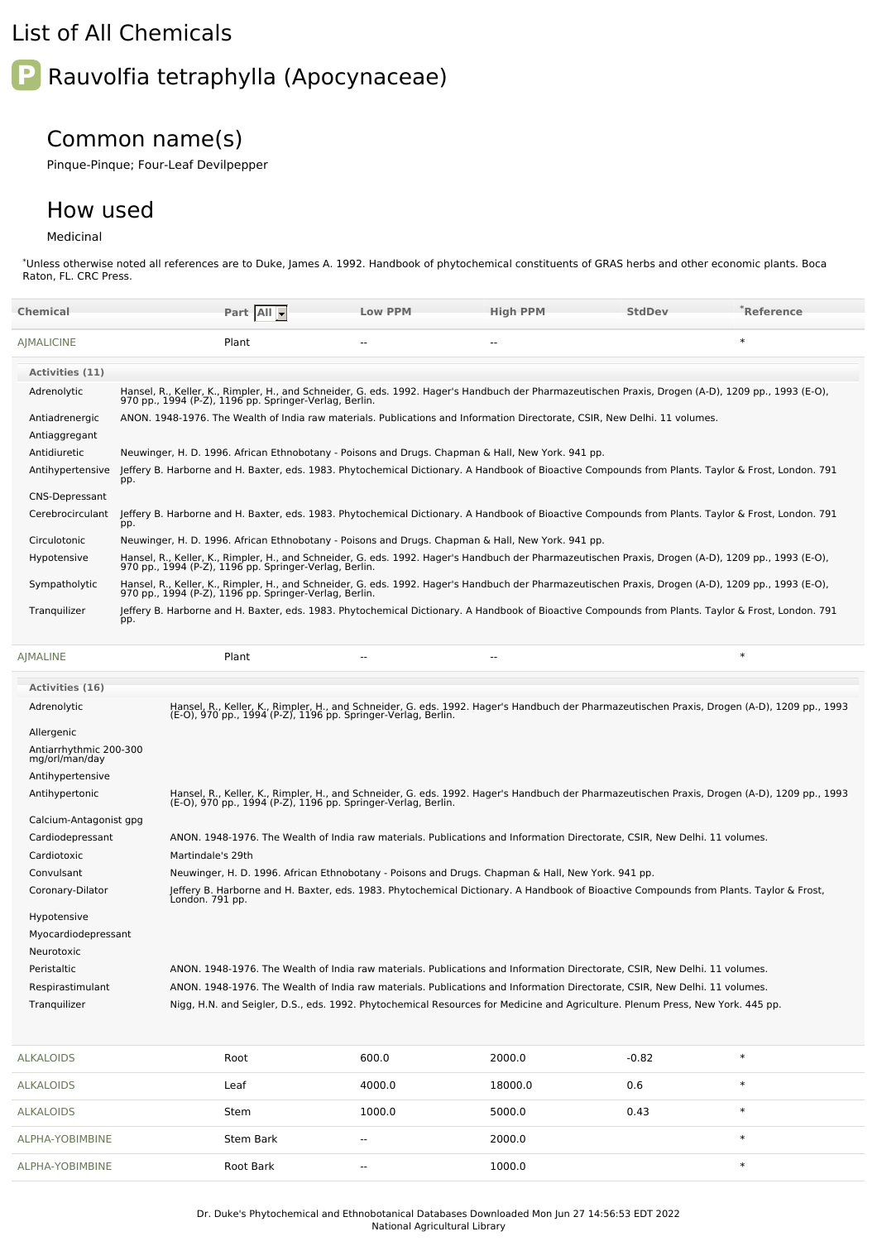## List of All Chemicals

# **P** Rauvolfia tetraphylla (Apocynaceae)

## Common name(s)

Pinque-Pinque; Four-Leaf Devilpepper

### How used

#### Medicinal

\*Unless otherwise noted all references are to Duke, James A. 1992. Handbook of phytochemical constituents of GRAS herbs and other economic plants. Boca Raton, FL. CRC Press.

| Chemical               | Part All -                                                                                                                                                                                                    | <b>Low PPM</b>           | <b>High PPM</b>          | <b>StdDev</b> | *Reference |  |  |
|------------------------|---------------------------------------------------------------------------------------------------------------------------------------------------------------------------------------------------------------|--------------------------|--------------------------|---------------|------------|--|--|
| <b>AIMALICINE</b>      | Plant                                                                                                                                                                                                         |                          |                          |               | $\ast$     |  |  |
| Activities (11)        |                                                                                                                                                                                                               |                          |                          |               |            |  |  |
| Adrenolytic            | Hansel, R., Keller, K., Rimpler, H., and Schneider, G. eds. 1992. Hager's Handbuch der Pharmazeutischen Praxis, Drogen (A-D), 1209 pp., 1993 (E-O),<br>970 pp., 1994 (P-Z), 1196 pp. Springer-Verlag, Berlin. |                          |                          |               |            |  |  |
| Antiadrenergic         | ANON, 1948-1976. The Wealth of India raw materials. Publications and Information Directorate. CSIR. New Delhi. 11 volumes.                                                                                    |                          |                          |               |            |  |  |
| Antiaggregant          |                                                                                                                                                                                                               |                          |                          |               |            |  |  |
| Antidiuretic           | Neuwinger, H. D. 1996. African Ethnobotany - Poisons and Drugs. Chapman & Hall, New York. 941 pp.                                                                                                             |                          |                          |               |            |  |  |
| Antihypertensive       | Jeffery B. Harborne and H. Baxter, eds. 1983. Phytochemical Dictionary. A Handbook of Bioactive Compounds from Plants. Taylor & Frost, London. 791<br>pp.                                                     |                          |                          |               |            |  |  |
| <b>CNS-Depressant</b>  |                                                                                                                                                                                                               |                          |                          |               |            |  |  |
| Cerebrocirculant       | Jeffery B. Harborne and H. Baxter, eds. 1983. Phytochemical Dictionary. A Handbook of Bioactive Compounds from Plants. Taylor & Frost, London. 791<br>pp.                                                     |                          |                          |               |            |  |  |
| Circulotonic           | Neuwinger, H. D. 1996. African Ethnobotany - Poisons and Drugs. Chapman & Hall, New York. 941 pp.                                                                                                             |                          |                          |               |            |  |  |
| Hypotensive            | Hansel, R., Keller, K., Rimpler, H., and Schneider, G. eds. 1992. Hager's Handbuch der Pharmazeutischen Praxis, Drogen (A-D), 1209 pp., 1993 (E-O),<br>970 pp., 1994 (P-Z), 1196 pp. Springer-Verlag, Berlin. |                          |                          |               |            |  |  |
| Sympatholytic          | Hansel, R., Keller, K., Rimpler, H., and Schneider, G. eds. 1992. Hager's Handbuch der Pharmazeutischen Praxis, Drogen (A-D), 1209 pp., 1993 (E-O),<br>970 pp., 1994 (P-Z), 1196 pp. Springer-Verlag, Berlin. |                          |                          |               |            |  |  |
| Tranguilizer           | Jeffery B. Harborne and H. Baxter, eds. 1983. Phytochemical Dictionary. A Handbook of Bioactive Compounds from Plants. Taylor & Frost, London. 791<br>pp.                                                     |                          |                          |               |            |  |  |
| <b>AIMALINE</b>        | Plant                                                                                                                                                                                                         | $\overline{\phantom{a}}$ | $\overline{\phantom{a}}$ |               | $\ast$     |  |  |
| <b>Activities (16)</b> |                                                                                                                                                                                                               |                          |                          |               |            |  |  |

| Adrenolytic                              | Hansel, R., Keller, K., Rimpler, H., and Schneider, G. eds. 1992. Hager's Handbuch der Pharmazeutischen Praxis, Drogen (A-D), 1209 pp., 1993<br>(E-O), 970 pp., 1994 (P-Z), 1196 pp. Springer-Verlag, Berlin. |
|------------------------------------------|---------------------------------------------------------------------------------------------------------------------------------------------------------------------------------------------------------------|
| Allergenic                               |                                                                                                                                                                                                               |
| Antiarrhythmic 200-300<br>mg/orl/man/day |                                                                                                                                                                                                               |
| Antihypertensive                         |                                                                                                                                                                                                               |
| Antihypertonic                           | Hansel, R., Keller, K., Rimpler, H., and Schneider, G. eds. 1992. Hager's Handbuch der Pharmazeutischen Praxis, Drogen (A-D), 1209 pp., 1993<br>(E-O), 970 pp., 1994 (P-Z), 1196 pp. Springer-Verlag, Berlin. |
| Calcium-Antagonist gpg                   |                                                                                                                                                                                                               |
| Cardiodepressant                         | ANON. 1948-1976. The Wealth of India raw materials. Publications and Information Directorate, CSIR, New Delhi. 11 volumes.                                                                                    |
| Cardiotoxic                              | Martindale's 29th                                                                                                                                                                                             |
| Convulsant                               | Neuwinger, H. D. 1996. African Ethnobotany - Poisons and Drugs. Chapman & Hall, New York. 941 pp.                                                                                                             |
| Coronary-Dilator                         | Jeffery B. Harborne and H. Baxter, eds. 1983. Phytochemical Dictionary. A Handbook of Bioactive Compounds from Plants. Taylor & Frost,<br>London. 791 pp.                                                     |
| Hypotensive                              |                                                                                                                                                                                                               |
| Myocardiodepressant                      |                                                                                                                                                                                                               |
| Neurotoxic                               |                                                                                                                                                                                                               |
| Peristaltic                              | ANON. 1948-1976. The Wealth of India raw materials. Publications and Information Directorate, CSIR, New Delhi. 11 volumes.                                                                                    |
| Respirastimulant                         | ANON. 1948-1976. The Wealth of India raw materials. Publications and Information Directorate, CSIR, New Delhi. 11 volumes.                                                                                    |
| Tranquilizer                             | Nigg, H.N. and Seigler, D.S., eds. 1992. Phytochemical Resources for Medicine and Agriculture. Plenum Press, New York. 445 pp.                                                                                |

| <b>ALKALOIDS</b> | Root             | 600.0                    | 2000.0  | $-0.82$ | $\ast$ |
|------------------|------------------|--------------------------|---------|---------|--------|
| <b>ALKALOIDS</b> | Leaf             | 4000.0                   | 18000.0 | 0.6     | $\ast$ |
| <b>ALKALOIDS</b> | Stem             | 1000.0                   | 5000.0  | 0.43    | $\ast$ |
| ALPHA-YOBIMBINE  | <b>Stem Bark</b> | $\sim$                   | 2000.0  |         | $\ast$ |
| ALPHA-YOBIMBINE  | Root Bark        | $\overline{\phantom{a}}$ | 1000.0  |         | $\ast$ |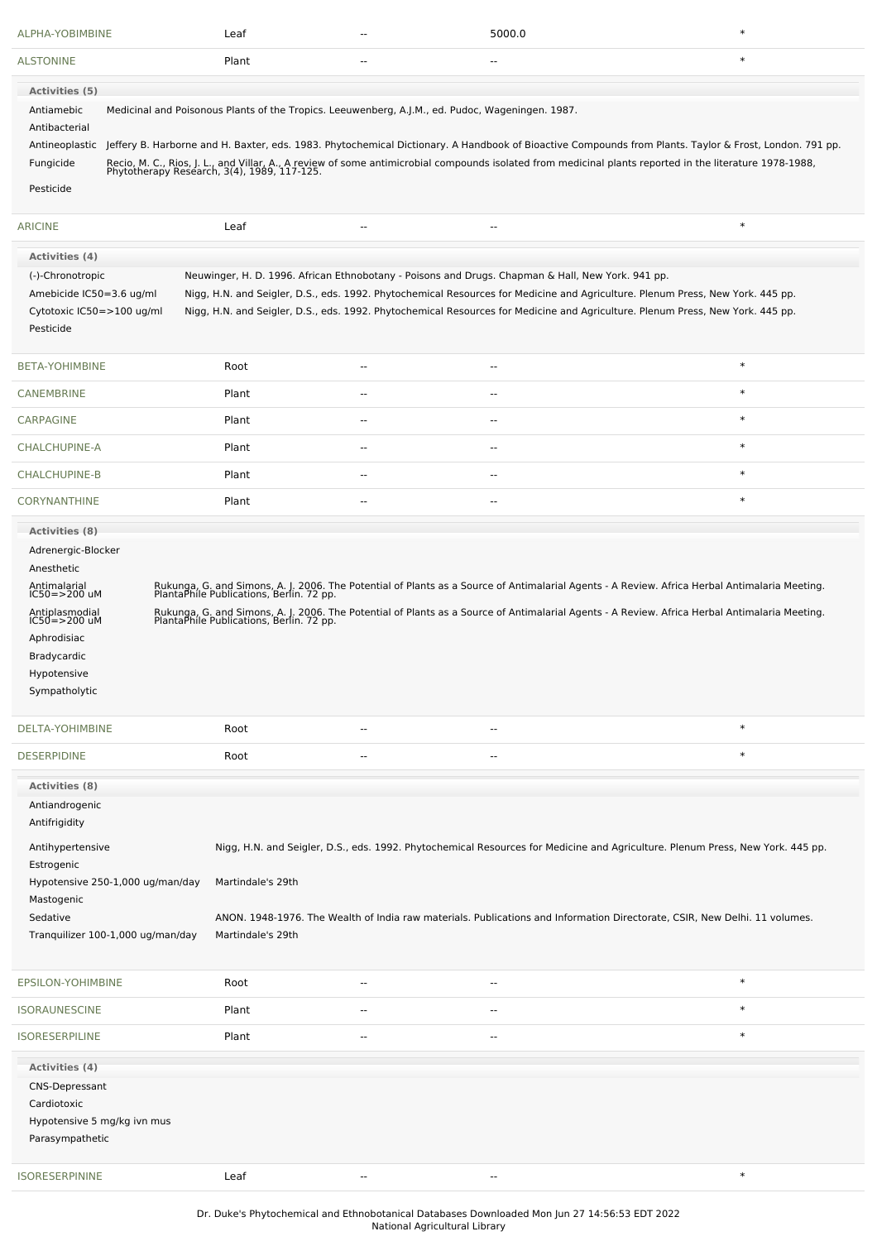| ALPHA-YOBIMBINE                  |                                                                                                                                                                                                                                                                                                                                                                                                                                | Leaf              | -- | 5000.0                                                                                           | $\ast$                                                                                                                                                                                                  |  |  |
|----------------------------------|--------------------------------------------------------------------------------------------------------------------------------------------------------------------------------------------------------------------------------------------------------------------------------------------------------------------------------------------------------------------------------------------------------------------------------|-------------------|----|--------------------------------------------------------------------------------------------------|---------------------------------------------------------------------------------------------------------------------------------------------------------------------------------------------------------|--|--|
| <b>ALSTONINE</b>                 |                                                                                                                                                                                                                                                                                                                                                                                                                                | Plant             | ٠. |                                                                                                  | $\ast$                                                                                                                                                                                                  |  |  |
| Activities (5)                   |                                                                                                                                                                                                                                                                                                                                                                                                                                |                   |    |                                                                                                  |                                                                                                                                                                                                         |  |  |
| Antiamebic<br>Antibacterial      |                                                                                                                                                                                                                                                                                                                                                                                                                                |                   |    | Medicinal and Poisonous Plants of the Tropics. Leeuwenberg, A.J.M., ed. Pudoc, Wageningen. 1987. |                                                                                                                                                                                                         |  |  |
| Antineoplastic                   |                                                                                                                                                                                                                                                                                                                                                                                                                                |                   |    |                                                                                                  | Jeffery B. Harborne and H. Baxter, eds. 1983. Phytochemical Dictionary. A Handbook of Bioactive Compounds from Plants. Taylor & Frost, London. 791 pp.                                                  |  |  |
| Fungicide                        |                                                                                                                                                                                                                                                                                                                                                                                                                                |                   |    |                                                                                                  | Recio, M. C., Rios, J. L., and Villar, A., A review of some antimicrobial compounds isolated from medicinal plants reported in the literature 1978-1988,<br>Phytotherapy Research, 3(4), 1989, 117-125. |  |  |
| Pesticide                        |                                                                                                                                                                                                                                                                                                                                                                                                                                |                   |    |                                                                                                  |                                                                                                                                                                                                         |  |  |
|                                  |                                                                                                                                                                                                                                                                                                                                                                                                                                |                   |    |                                                                                                  |                                                                                                                                                                                                         |  |  |
| <b>ARICINE</b>                   |                                                                                                                                                                                                                                                                                                                                                                                                                                | Leaf              | ٠. | $\overline{a}$                                                                                   | $\ast$                                                                                                                                                                                                  |  |  |
| <b>Activities (4)</b>            |                                                                                                                                                                                                                                                                                                                                                                                                                                |                   |    |                                                                                                  |                                                                                                                                                                                                         |  |  |
| (-)-Chronotropic<br>Pesticide    | Neuwinger, H. D. 1996. African Ethnobotany - Poisons and Drugs. Chapman & Hall, New York. 941 pp.<br>Nigg, H.N. and Seigler, D.S., eds. 1992. Phytochemical Resources for Medicine and Agriculture. Plenum Press, New York. 445 pp.<br>Amebicide IC50=3.6 ug/ml<br>Nigg, H.N. and Seigler, D.S., eds. 1992. Phytochemical Resources for Medicine and Agriculture. Plenum Press, New York. 445 pp.<br>Cytotoxic IC50=>100 ug/ml |                   |    |                                                                                                  |                                                                                                                                                                                                         |  |  |
| BETA-YOHIMBINE                   |                                                                                                                                                                                                                                                                                                                                                                                                                                | Root              | -- | $\overline{\phantom{a}}$                                                                         | $\ast$                                                                                                                                                                                                  |  |  |
| <b>CANEMBRINE</b>                |                                                                                                                                                                                                                                                                                                                                                                                                                                | Plant             | -- | $\overline{\phantom{a}}$                                                                         | $\ast$                                                                                                                                                                                                  |  |  |
| CARPAGINE                        |                                                                                                                                                                                                                                                                                                                                                                                                                                | Plant             | ٠. | $\sim$                                                                                           | $\ast$                                                                                                                                                                                                  |  |  |
| CHALCHUPINE-A                    |                                                                                                                                                                                                                                                                                                                                                                                                                                | Plant             | -- | --                                                                                               | $\ast$                                                                                                                                                                                                  |  |  |
| CHALCHUPINE-B                    |                                                                                                                                                                                                                                                                                                                                                                                                                                | Plant             | -- | $\sim$                                                                                           | $\ast$                                                                                                                                                                                                  |  |  |
| <b>CORYNANTHINE</b>              |                                                                                                                                                                                                                                                                                                                                                                                                                                | Plant             | ٠. | $\overline{\phantom{a}}$                                                                         | $\ast$                                                                                                                                                                                                  |  |  |
| <b>Activities (8)</b>            |                                                                                                                                                                                                                                                                                                                                                                                                                                |                   |    |                                                                                                  |                                                                                                                                                                                                         |  |  |
| Adrenergic-Blocker               |                                                                                                                                                                                                                                                                                                                                                                                                                                |                   |    |                                                                                                  |                                                                                                                                                                                                         |  |  |
| Anesthetic                       |                                                                                                                                                                                                                                                                                                                                                                                                                                |                   |    |                                                                                                  |                                                                                                                                                                                                         |  |  |
| Antimalarial<br>IC50=>200 uM     |                                                                                                                                                                                                                                                                                                                                                                                                                                |                   |    |                                                                                                  | Rukunga, G. and Simons, A. J. 2006. The Potential of Plants as a Source of Antimalarial Agents - A Review. Africa Herbal Antimalaria Meeting.<br>PlantaPhile Publications, Berlin. 72 pp.               |  |  |
| Antiplasmodial<br>IC50=>200 uM   |                                                                                                                                                                                                                                                                                                                                                                                                                                |                   |    |                                                                                                  | Rukunga, G. and Simons, A. J. 2006. The Potential of Plants as a Source of Antimalarial Agents - A Review. Africa Herbal Antimalaria Meeting.<br>PlantaPhile Publications, Berlin. 72 pp.               |  |  |
| Aphrodisiac                      |                                                                                                                                                                                                                                                                                                                                                                                                                                |                   |    |                                                                                                  |                                                                                                                                                                                                         |  |  |
| Bradycardic                      |                                                                                                                                                                                                                                                                                                                                                                                                                                |                   |    |                                                                                                  |                                                                                                                                                                                                         |  |  |
| Hypotensive                      |                                                                                                                                                                                                                                                                                                                                                                                                                                |                   |    |                                                                                                  |                                                                                                                                                                                                         |  |  |
| Sympatholytic                    |                                                                                                                                                                                                                                                                                                                                                                                                                                |                   |    |                                                                                                  |                                                                                                                                                                                                         |  |  |
| DELTA-YOHIMBINE                  |                                                                                                                                                                                                                                                                                                                                                                                                                                | Root              | -- | $\overline{\phantom{a}}$                                                                         | $\ast$                                                                                                                                                                                                  |  |  |
| <b>DESERPIDINE</b>               |                                                                                                                                                                                                                                                                                                                                                                                                                                | Root              | ٠. | --                                                                                               | $\ast$                                                                                                                                                                                                  |  |  |
|                                  |                                                                                                                                                                                                                                                                                                                                                                                                                                |                   |    |                                                                                                  |                                                                                                                                                                                                         |  |  |
| Activities (8)<br>Antiandrogenic |                                                                                                                                                                                                                                                                                                                                                                                                                                |                   |    |                                                                                                  |                                                                                                                                                                                                         |  |  |
| Antifrigidity                    |                                                                                                                                                                                                                                                                                                                                                                                                                                |                   |    |                                                                                                  |                                                                                                                                                                                                         |  |  |
| Antihypertensive<br>Estrogenic   |                                                                                                                                                                                                                                                                                                                                                                                                                                |                   |    |                                                                                                  | Nigg, H.N. and Seigler, D.S., eds. 1992. Phytochemical Resources for Medicine and Agriculture. Plenum Press, New York. 445 pp.                                                                          |  |  |
|                                  | Hypotensive 250-1,000 ug/man/day                                                                                                                                                                                                                                                                                                                                                                                               | Martindale's 29th |    |                                                                                                  |                                                                                                                                                                                                         |  |  |
| Mastogenic                       |                                                                                                                                                                                                                                                                                                                                                                                                                                |                   |    |                                                                                                  |                                                                                                                                                                                                         |  |  |
| Sedative                         |                                                                                                                                                                                                                                                                                                                                                                                                                                |                   |    |                                                                                                  | ANON. 1948-1976. The Wealth of India raw materials. Publications and Information Directorate, CSIR, New Delhi. 11 volumes.                                                                              |  |  |
|                                  | Tranquilizer 100-1,000 ug/man/day                                                                                                                                                                                                                                                                                                                                                                                              | Martindale's 29th |    |                                                                                                  |                                                                                                                                                                                                         |  |  |
| EPSILON-YOHIMBINE                |                                                                                                                                                                                                                                                                                                                                                                                                                                | Root              |    | --                                                                                               | $\ast$                                                                                                                                                                                                  |  |  |
| <b>ISORAUNESCINE</b>             |                                                                                                                                                                                                                                                                                                                                                                                                                                | Plant             | -- | --                                                                                               | $\ast$                                                                                                                                                                                                  |  |  |
| <b>ISORESERPILINE</b>            |                                                                                                                                                                                                                                                                                                                                                                                                                                | Plant             | -- | $\overline{\phantom{a}}$                                                                         | $\ast$                                                                                                                                                                                                  |  |  |
| Activities (4)                   |                                                                                                                                                                                                                                                                                                                                                                                                                                |                   |    |                                                                                                  |                                                                                                                                                                                                         |  |  |
| CNS-Depressant                   |                                                                                                                                                                                                                                                                                                                                                                                                                                |                   |    |                                                                                                  |                                                                                                                                                                                                         |  |  |
| Cardiotoxic                      |                                                                                                                                                                                                                                                                                                                                                                                                                                |                   |    |                                                                                                  |                                                                                                                                                                                                         |  |  |
| Hypotensive 5 mg/kg ivn mus      |                                                                                                                                                                                                                                                                                                                                                                                                                                |                   |    |                                                                                                  |                                                                                                                                                                                                         |  |  |
| Parasympathetic                  |                                                                                                                                                                                                                                                                                                                                                                                                                                |                   |    |                                                                                                  |                                                                                                                                                                                                         |  |  |
| <b>ISORESERPININE</b>            |                                                                                                                                                                                                                                                                                                                                                                                                                                | Leaf              | ٠. | $\sim$                                                                                           | $\ast$                                                                                                                                                                                                  |  |  |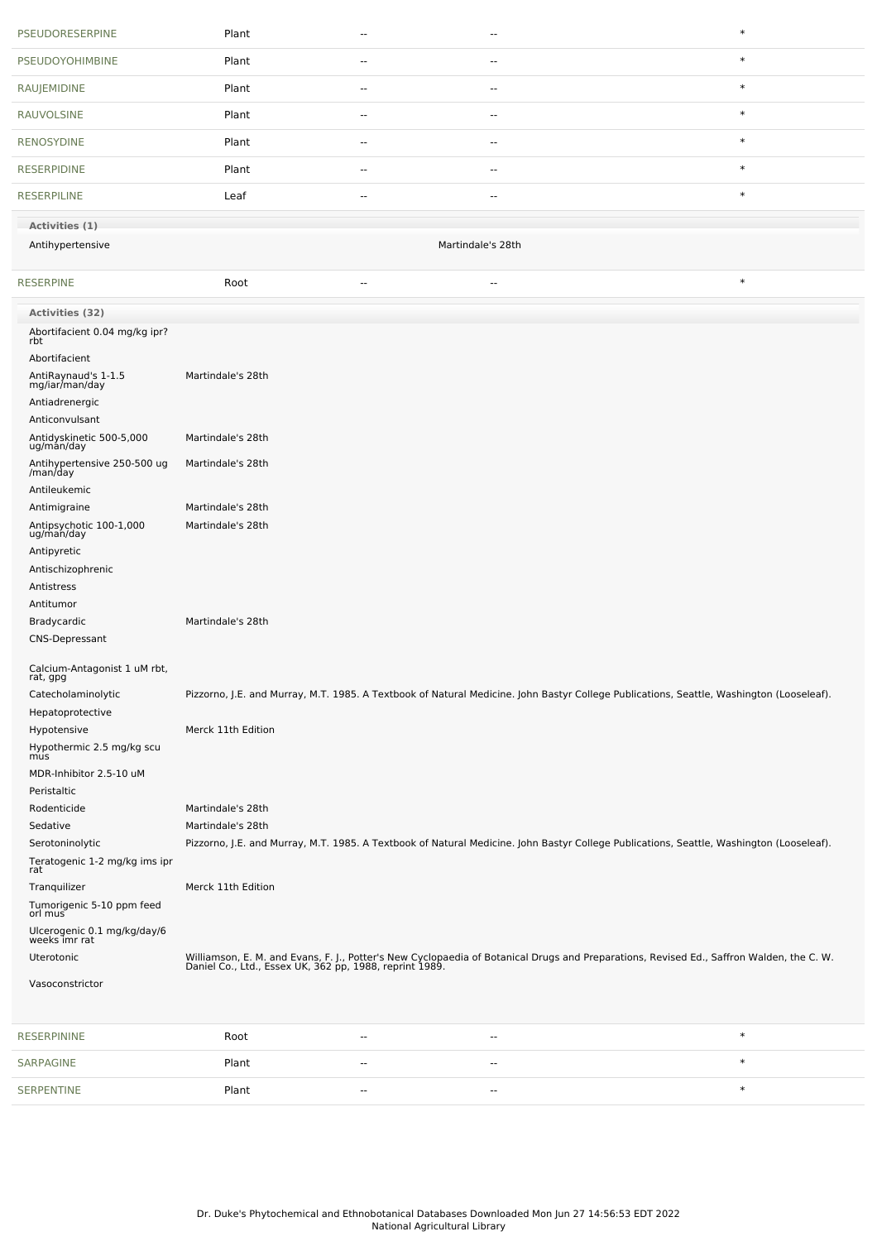| PSEUDORESERPINE                                       | Plant              | ٠.             | $\sim$                   | $\ast$                                                                                                                                                                                              |  |  |  |
|-------------------------------------------------------|--------------------|----------------|--------------------------|-----------------------------------------------------------------------------------------------------------------------------------------------------------------------------------------------------|--|--|--|
| <b>PSEUDOYOHIMBINE</b>                                | Plant              | --             | --                       | $\ast$                                                                                                                                                                                              |  |  |  |
| RAUJEMIDINE                                           | Plant              | ٠.             | $\overline{\phantom{a}}$ | $\ast$                                                                                                                                                                                              |  |  |  |
| <b>RAUVOLSINE</b>                                     | Plant              | $\overline{a}$ | $-$                      | $\ast$                                                                                                                                                                                              |  |  |  |
| <b>RENOSYDINE</b>                                     | Plant              | ٠.             | $\overline{\phantom{a}}$ | $\ast$                                                                                                                                                                                              |  |  |  |
| <b>RESERPIDINE</b>                                    | Plant              | ۰.             | $\overline{\phantom{a}}$ | $\ast$                                                                                                                                                                                              |  |  |  |
| <b>RESERPILINE</b>                                    | Leaf               | ٠.             | --                       | $\ast$                                                                                                                                                                                              |  |  |  |
| Activities (1)                                        |                    |                |                          |                                                                                                                                                                                                     |  |  |  |
| Antihypertensive                                      | Martindale's 28th  |                |                          |                                                                                                                                                                                                     |  |  |  |
| <b>RESERPINE</b>                                      | Root               | $\overline{a}$ | $\overline{a}$           | $\ast$                                                                                                                                                                                              |  |  |  |
| Activities (32)                                       |                    |                |                          |                                                                                                                                                                                                     |  |  |  |
| Abortifacient 0.04 mg/kg ipr?<br>rbt                  |                    |                |                          |                                                                                                                                                                                                     |  |  |  |
| Abortifacient                                         |                    |                |                          |                                                                                                                                                                                                     |  |  |  |
| AntiRaynaud's 1-1.5<br>mg/iar/man/day                 | Martindale's 28th  |                |                          |                                                                                                                                                                                                     |  |  |  |
| Antiadrenergic                                        |                    |                |                          |                                                                                                                                                                                                     |  |  |  |
| Anticonvulsant<br>Antidyskinetic 500-5,000            | Martindale's 28th  |                |                          |                                                                                                                                                                                                     |  |  |  |
| ug/man/day<br>Antihypertensive 250-500 ug             | Martindale's 28th  |                |                          |                                                                                                                                                                                                     |  |  |  |
| /man/day<br>Antileukemic                              |                    |                |                          |                                                                                                                                                                                                     |  |  |  |
|                                                       | Martindale's 28th  |                |                          |                                                                                                                                                                                                     |  |  |  |
| Antimigraine<br>Antipsychotic 100-1,000<br>ug/man/day | Martindale's 28th  |                |                          |                                                                                                                                                                                                     |  |  |  |
| Antipyretic                                           |                    |                |                          |                                                                                                                                                                                                     |  |  |  |
| Antischizophrenic                                     |                    |                |                          |                                                                                                                                                                                                     |  |  |  |
| Antistress                                            |                    |                |                          |                                                                                                                                                                                                     |  |  |  |
| Antitumor                                             |                    |                |                          |                                                                                                                                                                                                     |  |  |  |
| Bradycardic                                           | Martindale's 28th  |                |                          |                                                                                                                                                                                                     |  |  |  |
| <b>CNS-Depressant</b>                                 |                    |                |                          |                                                                                                                                                                                                     |  |  |  |
| Calcium-Antagonist 1 uM rbt,<br>rat, gpg              |                    |                |                          |                                                                                                                                                                                                     |  |  |  |
| Catecholaminolytic                                    |                    |                |                          | Pizzorno, J.E. and Murray, M.T. 1985. A Textbook of Natural Medicine. John Bastyr College Publications, Seattle, Washington (Looseleaf).                                                            |  |  |  |
| Hepatoprotective                                      |                    |                |                          |                                                                                                                                                                                                     |  |  |  |
| Hypotensive                                           | Merck 11th Edition |                |                          |                                                                                                                                                                                                     |  |  |  |
| Hypothermic 2.5 mg/kg scu<br>mus                      |                    |                |                          |                                                                                                                                                                                                     |  |  |  |
| MDR-Inhibitor 2.5-10 uM                               |                    |                |                          |                                                                                                                                                                                                     |  |  |  |
| Peristaltic                                           |                    |                |                          |                                                                                                                                                                                                     |  |  |  |
| Rodenticide                                           | Martindale's 28th  |                |                          |                                                                                                                                                                                                     |  |  |  |
| Sedative                                              | Martindale's 28th  |                |                          |                                                                                                                                                                                                     |  |  |  |
| Serotoninolytic                                       |                    |                |                          | Pizzorno, J.E. and Murray, M.T. 1985. A Textbook of Natural Medicine. John Bastyr College Publications, Seattle, Washington (Looseleaf).                                                            |  |  |  |
| Teratogenic 1-2 mg/kg ims ipr<br>rat                  |                    |                |                          |                                                                                                                                                                                                     |  |  |  |
| Tranquilizer                                          | Merck 11th Edition |                |                          |                                                                                                                                                                                                     |  |  |  |
| Tumorigenic 5-10 ppm feed<br>orl mus                  |                    |                |                          |                                                                                                                                                                                                     |  |  |  |
| Ulcerogenic 0.1 mg/kg/day/6<br>weeks imr rat          |                    |                |                          |                                                                                                                                                                                                     |  |  |  |
| Uterotonic                                            |                    |                |                          | Williamson, E. M. and Evans, F. J., Potter's New Cyclopaedia of Botanical Drugs and Preparations, Revised Ed., Saffron Walden, the C. W.<br>Daniel Co., Ltd., Essex UK, 362 pp, 1988, reprint 1989. |  |  |  |
| Vasoconstrictor                                       |                    |                |                          |                                                                                                                                                                                                     |  |  |  |
|                                                       |                    |                |                          |                                                                                                                                                                                                     |  |  |  |
| <b>RESERPININE</b>                                    | Root               | ٠.             | --                       | $\ast$                                                                                                                                                                                              |  |  |  |
| SARPAGINE                                             | Plant              | ٠.             | --                       | $\ast$                                                                                                                                                                                              |  |  |  |
| SERPENTINE                                            | Plant              | ٠.             | $-$                      | $\ast$                                                                                                                                                                                              |  |  |  |